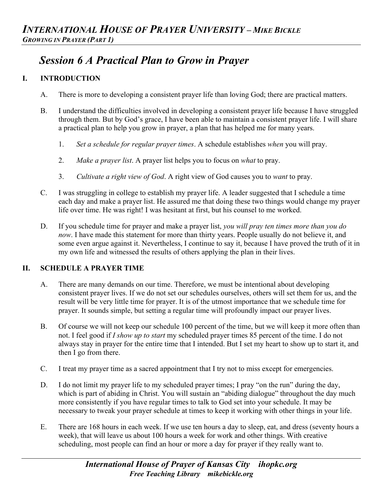# *Session 6 A Practical Plan to Grow in Prayer*

## **I. INTRODUCTION**

- A. There is more to developing a consistent prayer life than loving God; there are practical matters.
- B. I understand the difficulties involved in developing a consistent prayer life because I have struggled through them. But by God's grace, I have been able to maintain a consistent prayer life. I will share a practical plan to help you grow in prayer, a plan that has helped me for many years.
	- 1. *Set a schedule for regular prayer times*. A schedule establishes *when* you will pray.
	- 2. *Make a prayer list*. A prayer list helps you to focus on *what* to pray.
	- 3. *Cultivate a right view of God*. A right view of God causes you to *want* to pray.
- C. I was struggling in college to establish my prayer life. A leader suggested that I schedule a time each day and make a prayer list. He assured me that doing these two things would change my prayer life over time. He was right! I was hesitant at first, but his counsel to me worked.
- D. If you schedule time for prayer and make a prayer list, *you will pray ten times more than you do now*. I have made this statement for more than thirty years. People usually do not believe it, and some even argue against it. Nevertheless, I continue to say it, because I have proved the truth of it in my own life and witnessed the results of others applying the plan in their lives.

## **II. SCHEDULE A PRAYER TIME**

- A. There are many demands on our time. Therefore, we must be intentional about developing consistent prayer lives. If we do not set our schedules ourselves, others will set them for us, and the result will be very little time for prayer. It is of the utmost importance that we schedule time for prayer. It sounds simple, but setting a regular time will profoundly impact our prayer lives.
- B. Of course we will not keep our schedule 100 percent of the time, but we will keep it more often than not. I feel good if *I show up to start* my scheduled prayer times 85 percent of the time. I do not always stay in prayer for the entire time that I intended. But I set my heart to show up to start it, and then I go from there.
- C. I treat my prayer time as a sacred appointment that I try not to miss except for emergencies.
- D. I do not limit my prayer life to my scheduled prayer times; I pray "on the run" during the day, which is part of abiding in Christ. You will sustain an "abiding dialogue" throughout the day much more consistently if you have regular times to talk to God set into your schedule. It may be necessary to tweak your prayer schedule at times to keep it working with other things in your life.
- E. There are 168 hours in each week. If we use ten hours a day to sleep, eat, and dress (seventy hours a week), that will leave us about 100 hours a week for work and other things. With creative scheduling, most people can find an hour or more a day for prayer if they really want to.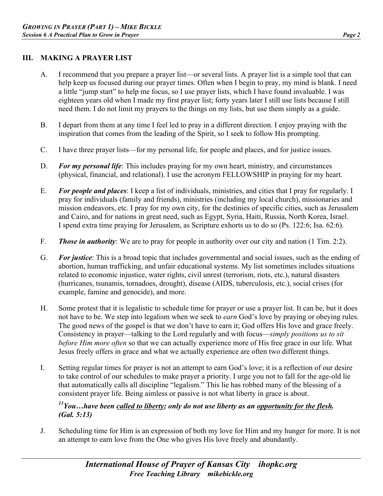#### **III. MAKING A PRAYER LIST**

- A. I recommend that you prepare a prayer list—or several lists. A prayer list is a simple tool that can help keep us focused during our prayer times. Often when I begin to pray, my mind is blank. I need a little "jump start" to help me focus, so I use prayer lists, which I have found invaluable. I was eighteen years old when I made my first prayer list; forty years later I still use lists because I still need them. I do not limit my prayers to the things on my lists, but use them simply as a guide.
- B. I depart from them at any time I feel led to pray in a different direction. I enjoy praying with the inspiration that comes from the leading of the Spirit, so I seek to follow His prompting.
- C. I have three prayer lists—for my personal life, for people and places, and for justice issues.
- D. *For my personal life*: This includes praying for my own heart, ministry, and circumstances (physical, financial, and relational). I use the acronym FELLOWSHIP in praying for my heart.
- E. *For people and places*: I keep a list of individuals, ministries, and cities that I pray for regularly. I pray for individuals (family and friends), ministries (including my local church), missionaries and mission endeavors, etc. I pray for my own city, for the destinies of specific cities, such as Jerusalem and Cairo, and for nations in great need, such as Egypt, Syria, Haiti, Russia, North Korea, Israel. I spend extra time praying for Jerusalem, as Scripture exhorts us to do so (Ps. 122:6; Isa. 62:6).
- F. *Those in authority*: We are to pray for people in authority over our city and nation (1 Tim. 2:2).
- G. *For justice*: This is a broad topic that includes governmental and social issues, such as the ending of abortion, human trafficking, and unfair educational systems. My list sometimes includes situations related to economic injustice, water rights, civil unrest (terrorism, riots, etc.), natural disasters (hurricanes, tsunamis, tornadoes, drought), disease (AIDS, tuberculosis, etc.), social crises (for example, famine and genocide), and more.
- H. Some protest that it is legalistic to schedule time for prayer or use a prayer list. It can be, but it does not have to be. We step into legalism when we seek to *earn* God's love by praying or obeying rules. The good news of the gospel is that we don't have to earn it; God offers His love and grace freely. Consistency in prayer—talking to the Lord regularly and with focus—*simply positions us to sit before Him more often* so that we can actually experience more of His free grace in our life. What Jesus freely offers in grace and what we actually experience are often two different things.
- I. Setting regular times for prayer is not an attempt to earn God's love; it is a reflection of our desire to take control of our schedules to make prayer a priority. I urge you not to fall for the age-old lie that automatically calls all discipline "legalism." This lie has robbed many of the blessing of a consistent prayer life. Being aimless or passive is not what liberty in grace is about.

## *13You…have been called to liberty; only do not use liberty as an opportunity for the flesh. (Gal. 5:13)*

J. Scheduling time for Him is an expression of both my love for Him and my hunger for more. It is not an attempt to earn love from the One who gives His love freely and abundantly.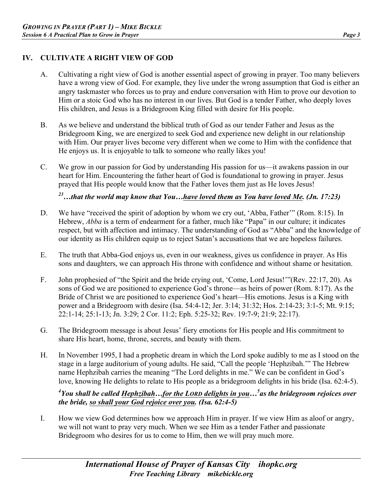## **IV. CULTIVATE A RIGHT VIEW OF GOD**

- A. Cultivating a right view of God is another essential aspect of growing in prayer. Too many believers have a wrong view of God. For example, they live under the wrong assumption that God is either an angry taskmaster who forces us to pray and endure conversation with Him to prove our devotion to Him or a stoic God who has no interest in our lives. But God is a tender Father, who deeply loves His children, and Jesus is a Bridegroom King filled with desire for His people.
- B. As we believe and understand the biblical truth of God as our tender Father and Jesus as the Bridegroom King, we are energized to seek God and experience new delight in our relationship with Him. Our prayer lives become very different when we come to Him with the confidence that He enjoys us. It is enjoyable to talk to someone who really likes you!
- C. We grow in our passion for God by understanding His passion for us—it awakens passion in our heart for Him. Encountering the father heart of God is foundational to growing in prayer. Jesus prayed that His people would know that the Father loves them just as He loves Jesus!

*23…that the world may know that You…have loved them as You have loved Me. (Jn. 17:23)*

- D. We have "received the spirit of adoption by whom we cry out, 'Abba, Father'" (Rom. 8:15). In Hebrew, *Abba* is a term of endearment for a father, much like "Papa" in our culture; it indicates respect, but with affection and intimacy. The understanding of God as "Abba" and the knowledge of our identity as His children equip us to reject Satan's accusations that we are hopeless failures.
- E. The truth that Abba-God enjoys us, even in our weakness, gives us confidence in prayer. As His sons and daughters, we can approach His throne with confidence and without shame or hesitation.
- F. John prophesied of "the Spirit and the bride crying out, 'Come, Lord Jesus!'"(Rev. 22:17, 20). As sons of God we are positioned to experience God's throne—as heirs of power (Rom. 8:17). As the Bride of Christ we are positioned to experience God's heart—His emotions. Jesus is a King with power and a Bridegroom with desire (Isa. 54:4-12; Jer. 3:14; 31:32; Hos. 2:14-23; 3:1-5; Mt. 9:15; 22:1-14; 25:1-13; Jn. 3:29; 2 Cor. 11:2; Eph. 5:25-32; Rev. 19:7-9; 21:9; 22:17).
- G. The Bridegroom message is about Jesus' fiery emotions for His people and His commitment to share His heart, home, throne, secrets, and beauty with them.
- H. In November 1995, I had a prophetic dream in which the Lord spoke audibly to me as I stood on the stage in a large auditorium of young adults. He said, "Call the people 'Hephzibah.'" The Hebrew name Hephzibah carries the meaning "The Lord delights in me." We can be confident in God's love, knowing He delights to relate to His people as a bridegroom delights in his bride (Isa. 62:4-5).

## *4 You shall be called Hephzibah…for the LORD delights in you…5 as the bridegroom rejoices over the bride, so shall your God rejoice over you. (Isa. 62:4-5)*

I. How we view God determines how we approach Him in prayer. If we view Him as aloof or angry, we will not want to pray very much. When we see Him as a tender Father and passionate Bridegroom who desires for us to come to Him, then we will pray much more.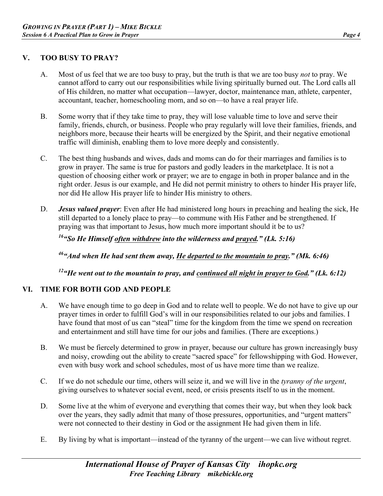#### **V. TOO BUSY TO PRAY?**

- A. Most of us feel that we are too busy to pray, but the truth is that we are too busy *not* to pray. We cannot afford to carry out our responsibilities while living spiritually burned out. The Lord calls all of His children, no matter what occupation—lawyer, doctor, maintenance man, athlete, carpenter, accountant, teacher, homeschooling mom, and so on—to have a real prayer life.
- B. Some worry that if they take time to pray, they will lose valuable time to love and serve their family, friends, church, or business. People who pray regularly will love their families, friends, and neighbors more, because their hearts will be energized by the Spirit, and their negative emotional traffic will diminish, enabling them to love more deeply and consistently.
- C. The best thing husbands and wives, dads and moms can do for their marriages and families is to grow in prayer. The same is true for pastors and godly leaders in the marketplace. It is not a question of choosing either work or prayer; we are to engage in both in proper balance and in the right order. Jesus is our example, and He did not permit ministry to others to hinder His prayer life, nor did He allow His prayer life to hinder His ministry to others.
- D. *Jesus valued prayer*: Even after He had ministered long hours in preaching and healing the sick, He still departed to a lonely place to pray—to commune with His Father and be strengthened. If praying was that important to Jesus, how much more important should it be to us?

*16"So He Himself often withdrew into the wilderness and prayed." (Lk. 5:16)*

*46"And when He had sent them away, He departed to the mountain to pray." (Mk. 6:46)*

*12"He went out to the mountain to pray, and continued all night in prayer to God." (Lk. 6:12)*

## **VI. TIME FOR BOTH GOD AND PEOPLE**

- A. We have enough time to go deep in God and to relate well to people. We do not have to give up our prayer times in order to fulfill God's will in our responsibilities related to our jobs and families. I have found that most of us can "steal" time for the kingdom from the time we spend on recreation and entertainment and still have time for our jobs and families. (There are exceptions.)
- B. We must be fiercely determined to grow in prayer, because our culture has grown increasingly busy and noisy, crowding out the ability to create "sacred space" for fellowshipping with God. However, even with busy work and school schedules, most of us have more time than we realize.
- C. If we do not schedule our time, others will seize it, and we will live in the *tyranny of the urgent*, giving ourselves to whatever social event, need, or crisis presents itself to us in the moment.
- D. Some live at the whim of everyone and everything that comes their way, but when they look back over the years, they sadly admit that many of those pressures, opportunities, and "urgent matters" were not connected to their destiny in God or the assignment He had given them in life.
- E. By living by what is important—instead of the tyranny of the urgent—we can live without regret.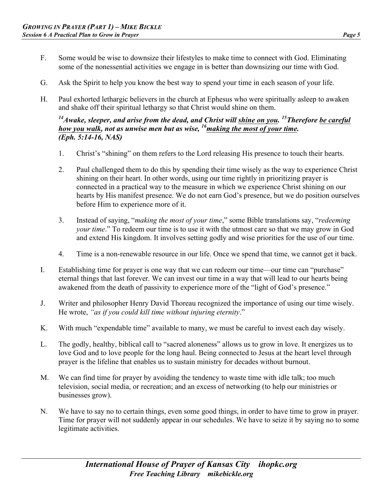- F. Some would be wise to downsize their lifestyles to make time to connect with God. Eliminating some of the nonessential activities we engage in is better than downsizing our time with God.
- G. Ask the Spirit to help you know the best way to spend your time in each season of your life.
- H. Paul exhorted lethargic believers in the church at Ephesus who were spiritually asleep to awaken and shake off their spiritual lethargy so that Christ would shine on them.

#### <sup>14</sup> Awake, sleeper, and arise from the dead, and Christ will shine on you. <sup>15</sup> Therefore be careful *how you walk, not as unwise men but as wise, <sup>16</sup> making the most of your time. (Eph. 5:14-16, NAS)*

- 1. Christ's "shining" on them refers to the Lord releasing His presence to touch their hearts.
- 2. Paul challenged them to do this by spending their time wisely as the way to experience Christ shining on their heart. In other words, using our time rightly in prioritizing prayer is connected in a practical way to the measure in which we experience Christ shining on our hearts by His manifest presence. We do not earn God's presence, but we do position ourselves before Him to experience more of it.
- 3. Instead of saying, "*making the most of your time*," some Bible translations say, "*redeeming your time*." To redeem our time is to use it with the utmost care so that we may grow in God and extend His kingdom. It involves setting godly and wise priorities for the use of our time.
- 4. Time is a non-renewable resource in our life. Once we spend that time, we cannot get it back.
- I. Establishing time for prayer is one way that we can redeem our time—our time can "purchase" eternal things that last forever. We can invest our time in a way that will lead to our hearts being awakened from the death of passivity to experience more of the "light of God's presence."
- J. Writer and philosopher Henry David Thoreau recognized the importance of using our time wisely. He wrote, *"as if you could kill time without injuring eternity*."
- K. With much "expendable time" available to many, we must be careful to invest each day wisely.
- L. The godly, healthy, biblical call to "sacred aloneness" allows us to grow in love. It energizes us to love God and to love people for the long haul. Being connected to Jesus at the heart level through prayer is the lifeline that enables us to sustain ministry for decades without burnout.
- M. We can find time for prayer by avoiding the tendency to waste time with idle talk; too much television, social media, or recreation; and an excess of networking (to help our ministries or businesses grow).
- N. We have to say no to certain things, even some good things, in order to have time to grow in prayer. Time for prayer will not suddenly appear in our schedules. We have to seize it by saying no to some legitimate activities.